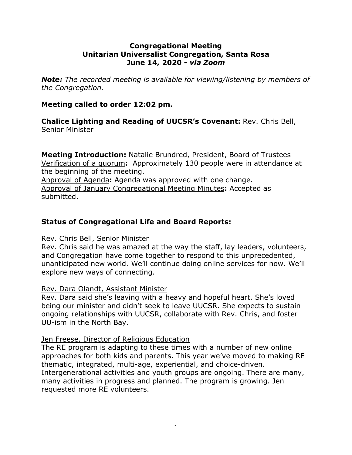# **Congregational Meeting Unitarian Universalist Congregation, Santa Rosa June 14, 2020 -** *via Zoom*

*Note: The recorded meeting is available for viewing/listening by members of the Congregation.*

# **Meeting called to order 12:02 pm.**

**Chalice Lighting and Reading of UUCSR's Covenant:** Rev. Chris Bell, Senior Minister

**Meeting Introduction:** Natalie Brundred, President, Board of Trustees Verification of a quorum**:** Approximately 130 people were in attendance at the beginning of the meeting.

Approval of Agenda**:** Agenda was approved with one change. Approval of January Congregational Meeting Minutes**:** Accepted as submitted.

# **Status of Congregational Life and Board Reports:**

# Rev. Chris Bell, Senior Minister

Rev. Chris said he was amazed at the way the staff, lay leaders, volunteers, and Congregation have come together to respond to this unprecedented, unanticipated new world. We'll continue doing online services for now. We'll explore new ways of connecting.

# Rev. Dara Olandt, Assistant Minister

Rev. Dara said she's leaving with a heavy and hopeful heart. She's loved being our minister and didn't seek to leave UUCSR. She expects to sustain ongoing relationships with UUCSR, collaborate with Rev. Chris, and foster UU-ism in the North Bay.

### Jen Freese, Director of Religious Education

The RE program is adapting to these times with a number of new online approaches for both kids and parents. This year we've moved to making RE thematic, integrated, multi-age, experiential, and choice-driven. Intergenerational activities and youth groups are ongoing. There are many, many activities in progress and planned. The program is growing. Jen requested more RE volunteers.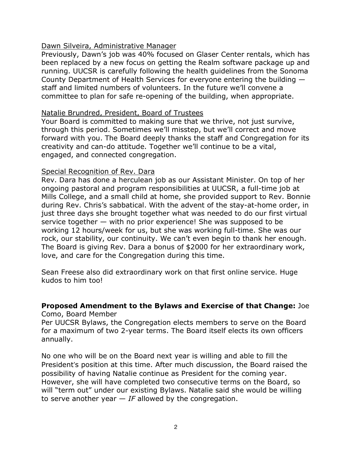# Dawn Silveira, Administrative Manager

Previously, Dawn's job was 40% focused on Glaser Center rentals, which has been replaced by a new focus on getting the Realm software package up and running. UUCSR is carefully following the health guidelines from the Sonoma County Department of Health Services for everyone entering the building staff and limited numbers of volunteers. In the future we'll convene a committee to plan for safe re-opening of the building, when appropriate.

### Natalie Brundred, President, Board of Trustees

Your Board is committed to making sure that we thrive, not just survive, through this period. Sometimes we'll misstep, but we'll correct and move forward with you. The Board deeply thanks the staff and Congregation for its creativity and can-do attitude. Together we'll continue to be a vital, engaged, and connected congregation.

### Special Recognition of Rev. Dara

Rev. Dara has done a herculean job as our Assistant Minister. On top of her ongoing pastoral and program responsibilities at UUCSR, a full-time job at Mills College, and a small child at home, she provided support to Rev. Bonnie during Rev. Chris's sabbatical. With the advent of the stay-at-home order, in just three days she brought together what was needed to do our first virtual service together — with no prior experience! She was supposed to be working 12 hours/week for us, but she was working full-time. She was our rock, our stability, our continuity. We can't even begin to thank her enough. The Board is giving Rev. Dara a bonus of \$2000 for her extraordinary work, love, and care for the Congregation during this time.

Sean Freese also did extraordinary work on that first online service. Huge kudos to him too!

# **Proposed Amendment to the Bylaws and Exercise of that Change:** Joe

Como, Board Member

Per UUCSR Bylaws, the Congregation elects members to serve on the Board for a maximum of two 2-year terms. The Board itself elects its own officers annually.

No one who will be on the Board next year is willing and able to fill the President's position at this time. After much discussion, the Board raised the possibility of having Natalie continue as President for the coming year. However, she will have completed two consecutive terms on the Board, so will "term out" under our existing Bylaws. Natalie said she would be willing to serve another year  $-IF$  allowed by the congregation.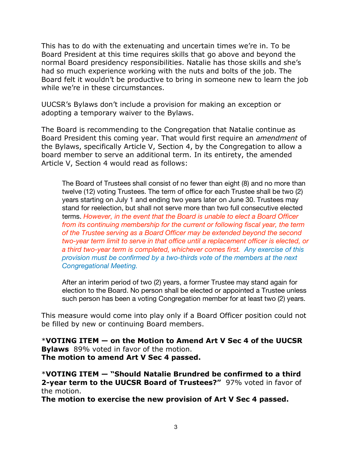This has to do with the extenuating and uncertain times we're in. To be Board President at this time requires skills that go above and beyond the normal Board presidency responsibilities. Natalie has those skills and she's had so much experience working with the nuts and bolts of the job. The Board felt it wouldn't be productive to bring in someone new to learn the job while we're in these circumstances.

UUCSR's Bylaws don't include a provision for making an exception or adopting a temporary waiver to the Bylaws.

The Board is recommending to the Congregation that Natalie continue as Board President this coming year. That would first require an *amendment* of the Bylaws, specifically Article V, Section 4, by the Congregation to allow a board member to serve an additional term. In its entirety, the amended Article V, Section 4 would read as follows:

The Board of Trustees shall consist of no fewer than eight (8) and no more than twelve (12) voting Trustees. The term of office for each Trustee shall be two (2) years starting on July 1 and ending two years later on June 30. Trustees may stand for reelection, but shall not serve more than two full consecutive elected terms. *However, in the event that the Board is unable to elect a Board Officer from its continuing membership for the current or following fiscal year, the term of the Trustee serving as a Board Officer may be extended beyond the second two-year term limit to serve in that office until a replacement officer is elected, or a third two-year term is completed, whichever comes first. Any exercise of this provision must be confirmed by a two-thirds vote of the members at the next Congregational Meeting.*

After an interim period of two (2) years, a former Trustee may stand again for election to the Board. No person shall be elected or appointed a Trustee unless such person has been a voting Congregation member for at least two (2) years.

This measure would come into play only if a Board Officer position could not be filled by new or continuing Board members.

\***VOTING ITEM — on the Motion to Amend Art V Sec 4 of the UUCSR Bylaws** 89% voted in favor of the motion. **The motion to amend Art V Sec 4 passed.**

\***VOTING ITEM — "Should Natalie Brundred be confirmed to a third 2-year term to the UUCSR Board of Trustees?"** 97% voted in favor of the motion.

**The motion to exercise the new provision of Art V Sec 4 passed.**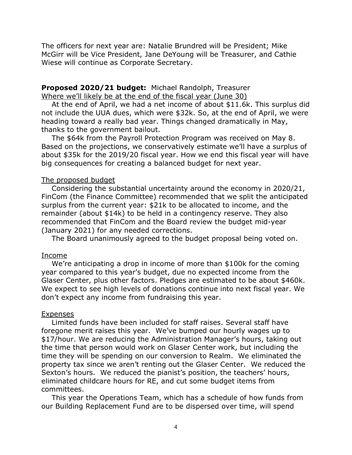The officers for next year are: Natalie Brundred will be President; Mike McGirr will be Vice President, Jane DeYoung will be Treasurer, and Cathie Wiese will continue as Corporate Secretary.

# **Proposed 2020/21 budget:** Michael Randolph, Treasurer Where we'll likely be at the end of the fiscal year (June 30)

At the end of April, we had a net income of about \$11.6k. This surplus did not include the UUA dues, which were \$32k. So, at the end of April, we were heading toward a really bad year. Things changed dramatically in May, thanks to the government bailout.

The \$64k from the Payroll Protection Program was received on May 8. Based on the projections, we conservatively estimate we'll have a surplus of about \$35k for the 2019/20 fiscal year. How we end this fiscal year will have big consequences for creating a balanced budget for next year.

### The proposed budget

Considering the substantial uncertainty around the economy in 2020/21, FinCom (the Finance Committee) recommended that we split the anticipated surplus from the current year: \$21k to be allocated to income, and the remainder (about \$14k) to be held in a contingency reserve. They also recommended that FinCom and the Board review the budget mid-year (January 2021) for any needed corrections.

The Board unanimously agreed to the budget proposal being voted on.

### Income

We're anticipating a drop in income of more than \$100k for the coming year compared to this year's budget, due no expected income from the Glaser Center, plus other factors. Pledges are estimated to be about \$460k. We expect to see high levels of donations continue into next fiscal year. We don't expect any income from fundraising this year.

### Expenses

Limited funds have been included for staff raises. Several staff have foregone merit raises this year. We've bumped our hourly wages up to \$17/hour. We are reducing the Administration Manager's hours, taking out the time that person would work on Glaser Center work, but including the time they will be spending on our conversion to Realm. We eliminated the property tax since we aren't renting out the Glaser Center. We reduced the Sexton's hours. We reduced the pianist's position, the teachers' hours, eliminated childcare hours for RE, and cut some budget items from committees.

This year the Operations Team, which has a schedule of how funds from our Building Replacement Fund are to be dispersed over time, will spend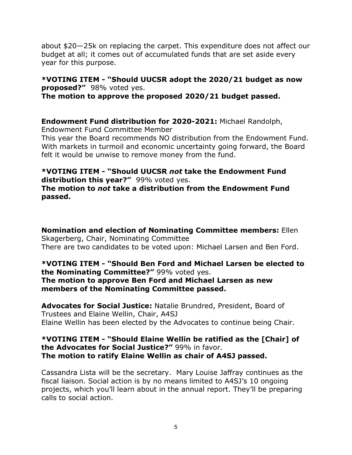about \$20—25k on replacing the carpet. This expenditure does not affect our budget at all; it comes out of accumulated funds that are set aside every year for this purpose.

**\*VOTING ITEM - "Should UUCSR adopt the 2020/21 budget as now proposed?"** 98% voted yes. **The motion to approve the proposed 2020/21 budget passed.**

**Endowment Fund distribution for 2020-2021:** Michael Randolph,

Endowment Fund Committee Member

This year the Board recommends NO distribution from the Endowment Fund. With markets in turmoil and economic uncertainty going forward, the Board felt it would be unwise to remove money from the fund.

### **\*VOTING ITEM - "Should UUCSR** *not* **take the Endowment Fund distribution this year?"** 99% voted yes. **The motion to** *not* **take a distribution from the Endowment Fund passed.**

**Nomination and election of Nominating Committee members:** Ellen Skagerberg, Chair, Nominating Committee There are two candidates to be voted upon: Michael Larsen and Ben Ford.

**\*VOTING ITEM - "Should Ben Ford and Michael Larsen be elected to the Nominating Committee?"** 99% voted yes. **The motion to approve Ben Ford and Michael Larsen as new members of the Nominating Committee passed.**

**Advocates for Social Justice:** Natalie Brundred, President, Board of Trustees and Elaine Wellin, Chair, A4SJ Elaine Wellin has been elected by the Advocates to continue being Chair.

# **\*VOTING ITEM - "Should Elaine Wellin be ratified as the [Chair] of the Advocates for Social Justice?"** 99% in favor. **The motion to ratify Elaine Wellin as chair of A4SJ passed.**

Cassandra Lista will be the secretary. Mary Louise Jaffray continues as the fiscal liaison. Social action is by no means limited to A4SJ's 10 ongoing projects, which you'll learn about in the annual report. They'll be preparing calls to social action.